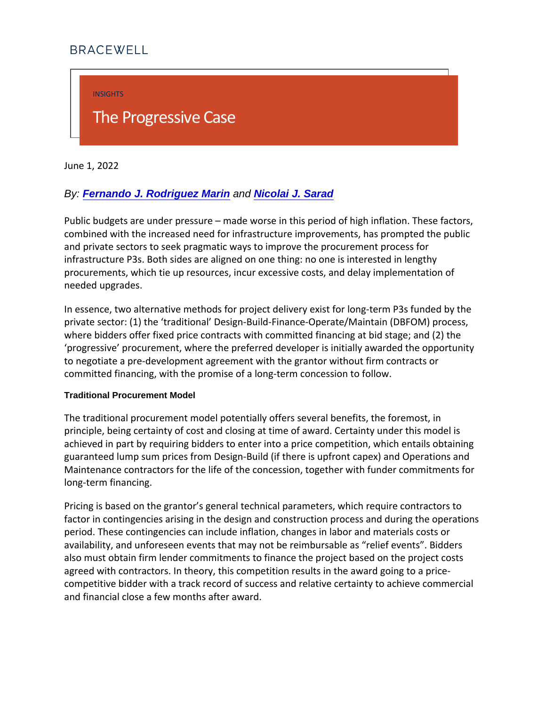INSIGHTS

# The Progressive Case

June 1, 2022

By: [Fernando J. Rodriguez Marin](https://bracewell.com/people/fernando-j-rodriguez-marin) and [Nicolai J. Sarad](https://bracewell.com/people/nicolai-j-sarad)

Public budgets are under pressure made worse in this period combined with the increased need for infrastructure improveme and private sectors to seek pragmatic ways to improve the proc infrastructure P3s. Both sides are aligned on one thing: no one procurements, which tie up resources, incur excessive costs, a needed upgrades.

In essence, two alternative methods for project delivery exist for private sector: (1) the traditional Design-Build-Finance-Opera where bidders offer fixed price contracts with committed financ progressive procurement, where the preferred developer is in to negotiate a pre-development agreement with the grantor with committed financing, with the promise of a long-term concession

#### Traditional Procurement Model

The traditional procurement model potentially offers several be principle, being certainty of cost and closing at time of award. achieved in part by requiring bidders to enter into a price com guaranteed lump sum prices from Design-Build (if there is upfr Maintenance contractors for the life of the concession, togethe long-term financing.

Pricing is based on the grantor s general technical parameters factor in contingencies arising in the design and construction period. These contingencies can include inflation, changes in I availability, and unforeseen events that may not be reimbursab also must obtain firm lender commitments to finance the projec agreed with contractors. In theory, this competition results in competitive bidder with a track record of success and relative and financial close a few months after award.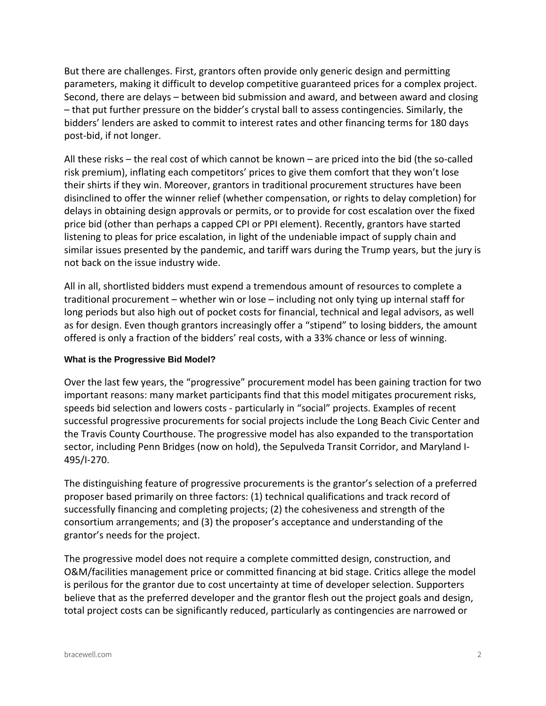But there are challenges. First, grantors often provide only generic design and permitting parameters, making it difficult to develop competitive guaranteed prices for a complex project. Second, there are delays – between bid submission and award, and between award and closing – that put further pressure on the bidder's crystal ball to assess contingencies. Similarly, the bidders' lenders are asked to commit to interest rates and other financing terms for 180 days post-bid, if not longer.

All these risks – the real cost of which cannot be known – are priced into the bid (the so-called risk premium), inflating each competitors' prices to give them comfort that they won't lose their shirts if they win. Moreover, grantors in traditional procurement structures have been disinclined to offer the winner relief (whether compensation, or rights to delay completion) for delays in obtaining design approvals or permits, or to provide for cost escalation over the fixed price bid (other than perhaps a capped CPI or PPI element). Recently, grantors have started listening to pleas for price escalation, in light of the undeniable impact of supply chain and similar issues presented by the pandemic, and tariff wars during the Trump years, but the jury is not back on the issue industry wide.

All in all, shortlisted bidders must expend a tremendous amount of resources to complete a traditional procurement – whether win or lose – including not only tying up internal staff for long periods but also high out of pocket costs for financial, technical and legal advisors, as well as for design. Even though grantors increasingly offer a "stipend" to losing bidders, the amount offered is only a fraction of the bidders' real costs, with a 33% chance or less of winning.

### **What is the Progressive Bid Model?**

Over the last few years, the "progressive" procurement model has been gaining traction for two important reasons: many market participants find that this model mitigates procurement risks, speeds bid selection and lowers costs - particularly in "social" projects. Examples of recent successful progressive procurements for social projects include the Long Beach Civic Center and the Travis County Courthouse. The progressive model has also expanded to the transportation sector, including Penn Bridges (now on hold), the Sepulveda Transit Corridor, and Maryland I-495/I-270.

The distinguishing feature of progressive procurements is the grantor's selection of a preferred proposer based primarily on three factors: (1) technical qualifications and track record of successfully financing and completing projects; (2) the cohesiveness and strength of the consortium arrangements; and (3) the proposer's acceptance and understanding of the grantor's needs for the project.

The progressive model does not require a complete committed design, construction, and O&M/facilities management price or committed financing at bid stage. Critics allege the model is perilous for the grantor due to cost uncertainty at time of developer selection. Supporters believe that as the preferred developer and the grantor flesh out the project goals and design, total project costs can be significantly reduced, particularly as contingencies are narrowed or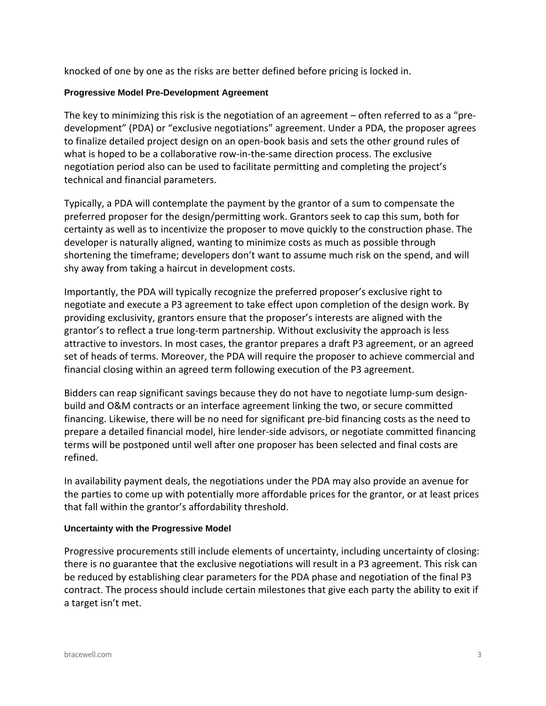knocked of one by one as the risks are better defined before pricing is locked in.

## **Progressive Model Pre-Development Agreement**

The key to minimizing this risk is the negotiation of an agreement – often referred to as a "predevelopment" (PDA) or "exclusive negotiations" agreement. Under a PDA, the proposer agrees to finalize detailed project design on an open-book basis and sets the other ground rules of what is hoped to be a collaborative row-in-the-same direction process. The exclusive negotiation period also can be used to facilitate permitting and completing the project's technical and financial parameters.

Typically, a PDA will contemplate the payment by the grantor of a sum to compensate the preferred proposer for the design/permitting work. Grantors seek to cap this sum, both for certainty as well as to incentivize the proposer to move quickly to the construction phase. The developer is naturally aligned, wanting to minimize costs as much as possible through shortening the timeframe; developers don't want to assume much risk on the spend, and will shy away from taking a haircut in development costs.

Importantly, the PDA will typically recognize the preferred proposer's exclusive right to negotiate and execute a P3 agreement to take effect upon completion of the design work. By providing exclusivity, grantors ensure that the proposer's interests are aligned with the grantor's to reflect a true long-term partnership. Without exclusivity the approach is less attractive to investors. In most cases, the grantor prepares a draft P3 agreement, or an agreed set of heads of terms. Moreover, the PDA will require the proposer to achieve commercial and financial closing within an agreed term following execution of the P3 agreement.

Bidders can reap significant savings because they do not have to negotiate lump-sum designbuild and O&M contracts or an interface agreement linking the two, or secure committed financing. Likewise, there will be no need for significant pre-bid financing costs as the need to prepare a detailed financial model, hire lender-side advisors, or negotiate committed financing terms will be postponed until well after one proposer has been selected and final costs are refined.

In availability payment deals, the negotiations under the PDA may also provide an avenue for the parties to come up with potentially more affordable prices for the grantor, or at least prices that fall within the grantor's affordability threshold.

## **Uncertainty with the Progressive Model**

Progressive procurements still include elements of uncertainty, including uncertainty of closing: there is no guarantee that the exclusive negotiations will result in a P3 agreement. This risk can be reduced by establishing clear parameters for the PDA phase and negotiation of the final P3 contract. The process should include certain milestones that give each party the ability to exit if a target isn't met.